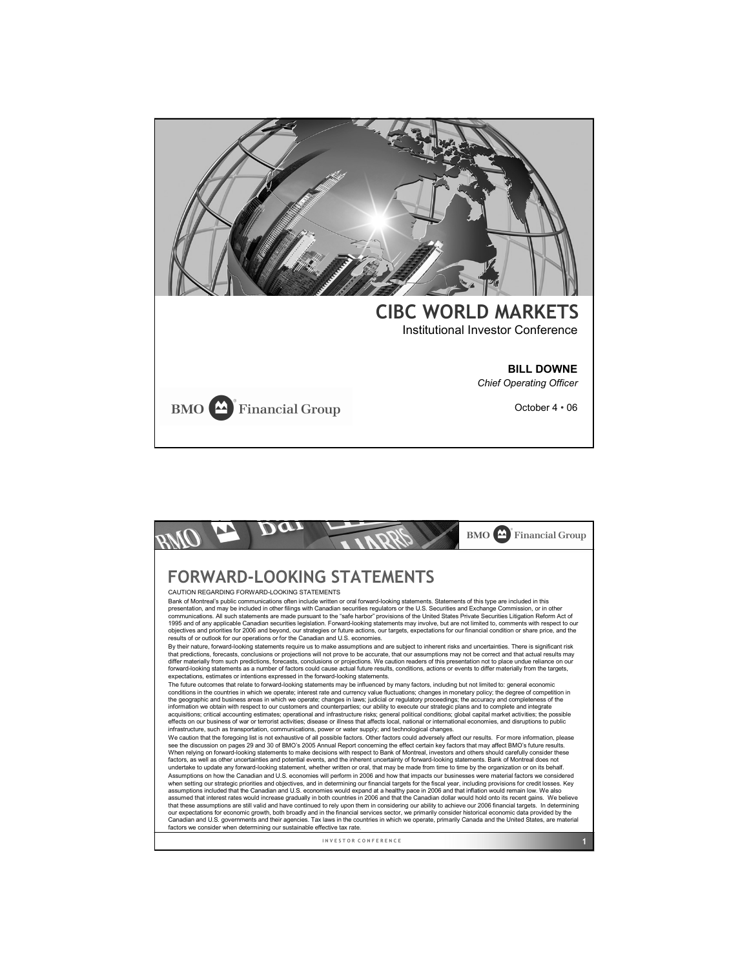

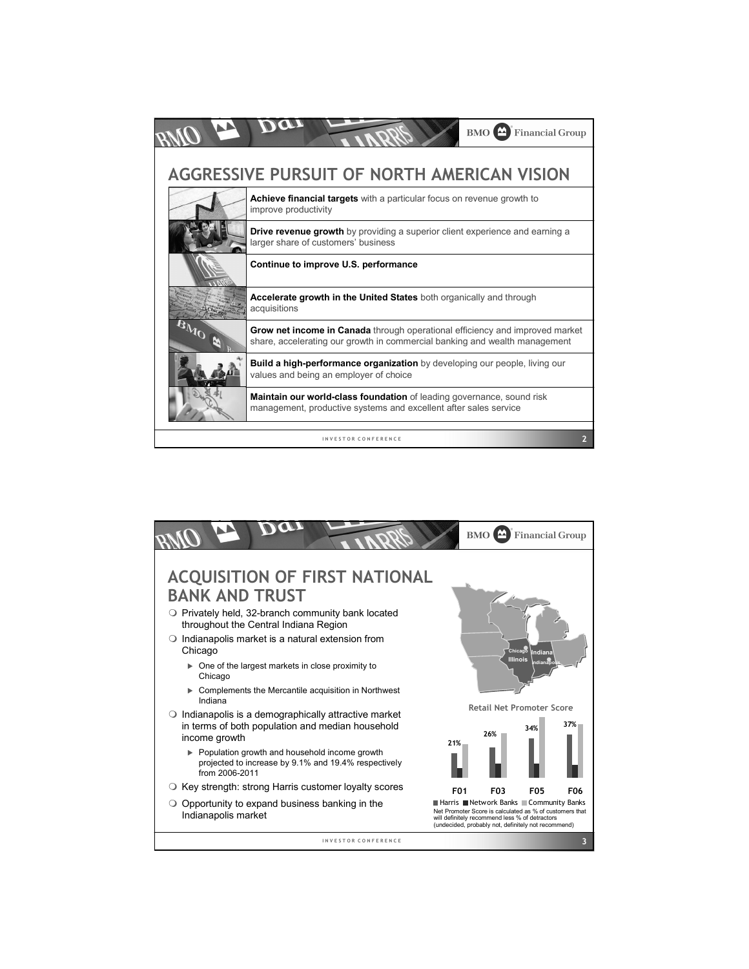

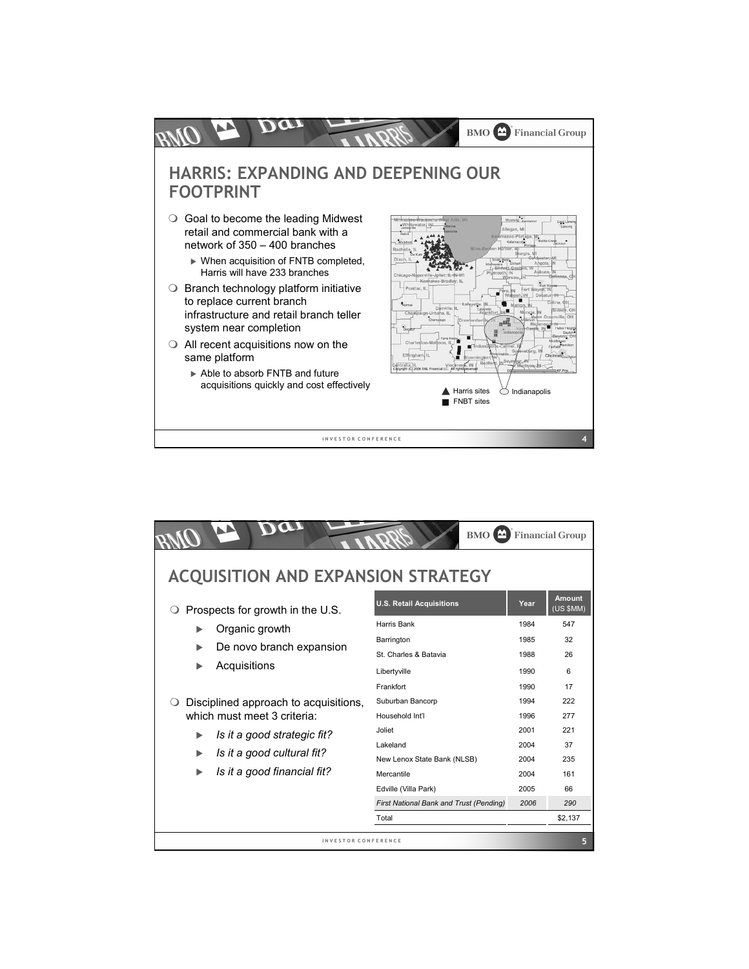

|                                           | $BMO$ $\triangle$                       |      | <b>Financial Group</b>     |
|-------------------------------------------|-----------------------------------------|------|----------------------------|
| <b>ACQUISITION AND EXPANSION STRATEGY</b> |                                         |      |                            |
| Prospects for growth in the U.S.          | <b>U.S. Retail Acquisitions</b>         | Year | <b>Amount</b><br>(US \$MM) |
| Organic growth<br>ь                       | Harris Bank                             | 1984 | 547                        |
| ь                                         | Barrington                              | 1985 | 32                         |
| De novo branch expansion                  | St. Charles & Batavia                   | 1988 | 26                         |
| Acquisitions<br>ь                         | Libertyville                            | 1990 | 6                          |
|                                           | Frankfort                               | 1990 | 17                         |
| Disciplined approach to acquisitions,     | Suburban Bancorp                        | 1994 | 222                        |
| which must meet 3 criteria:               | Household Int'l                         | 1996 | 277                        |
| Is it a good strategic fit?<br>ь          | Joliet                                  | 2001 | 221                        |
|                                           | Lakeland                                | 2004 | 37                         |
| Is it a good cultural fit?<br>ь           | New Lenox State Bank (NLSB)             | 2004 | 235                        |
| Is it a good financial fit?<br>ь          | Mercantile                              | 2004 | 161                        |
|                                           | Edville (Villa Park)                    | 2005 | 66                         |
|                                           | First National Bank and Trust (Pending) | 2006 | 290                        |
|                                           | Total                                   |      | \$2,137                    |
| INVESTOR CONFERENCE                       |                                         |      | 5                          |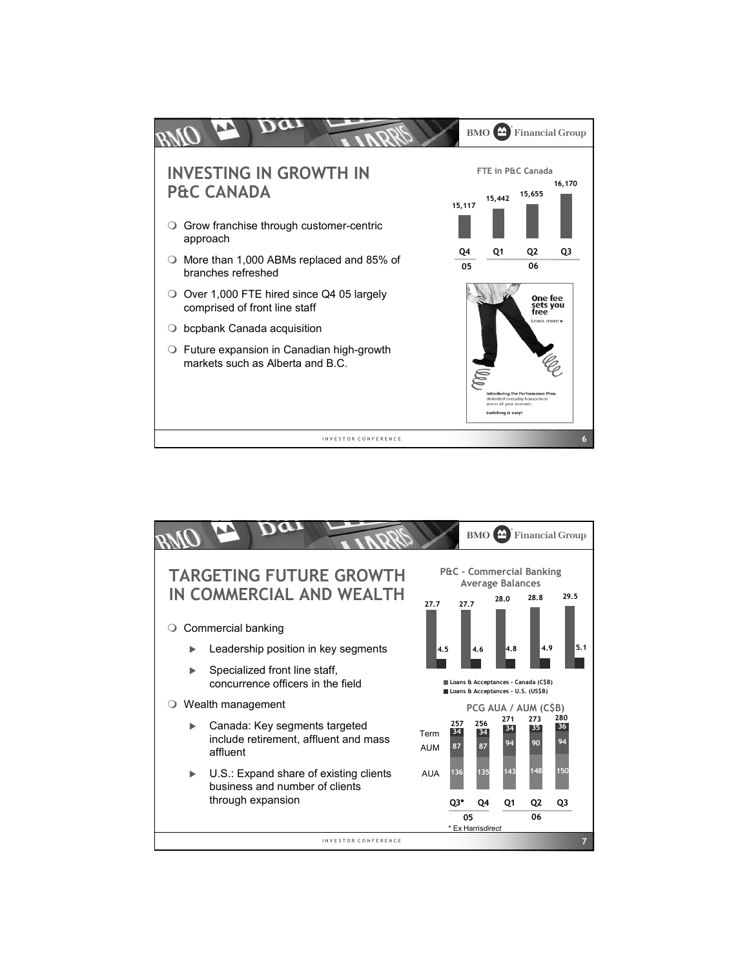

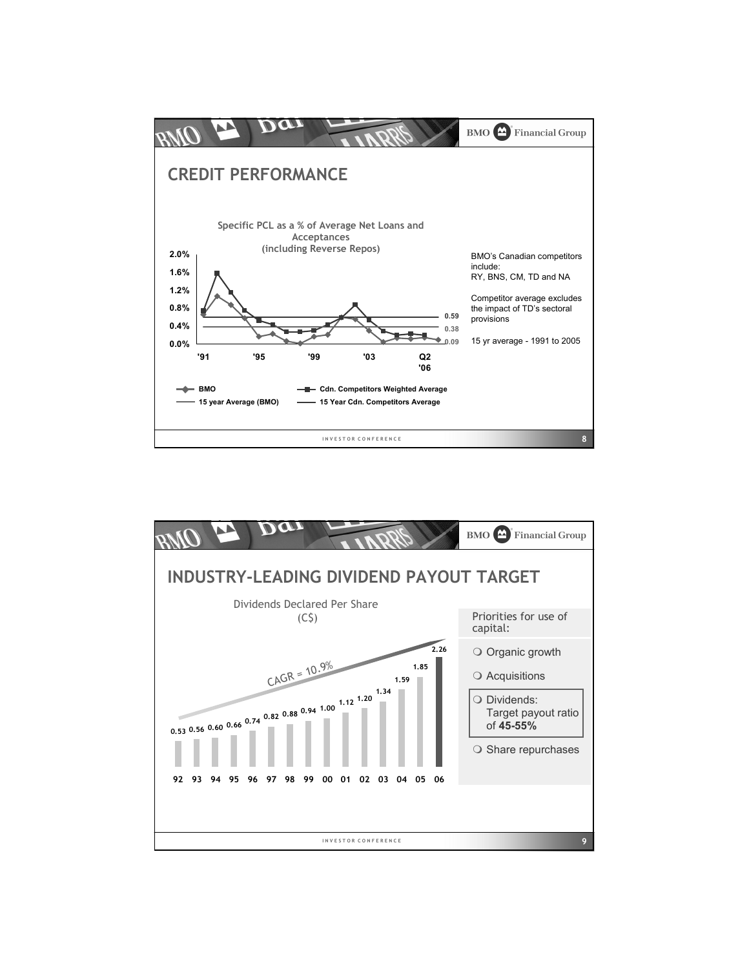

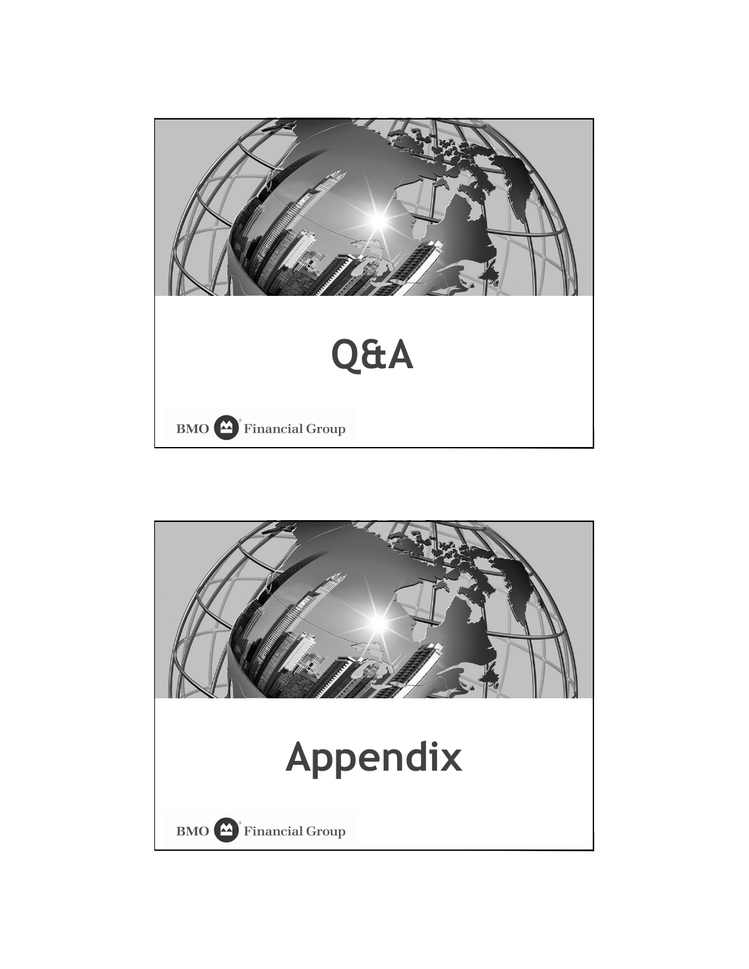

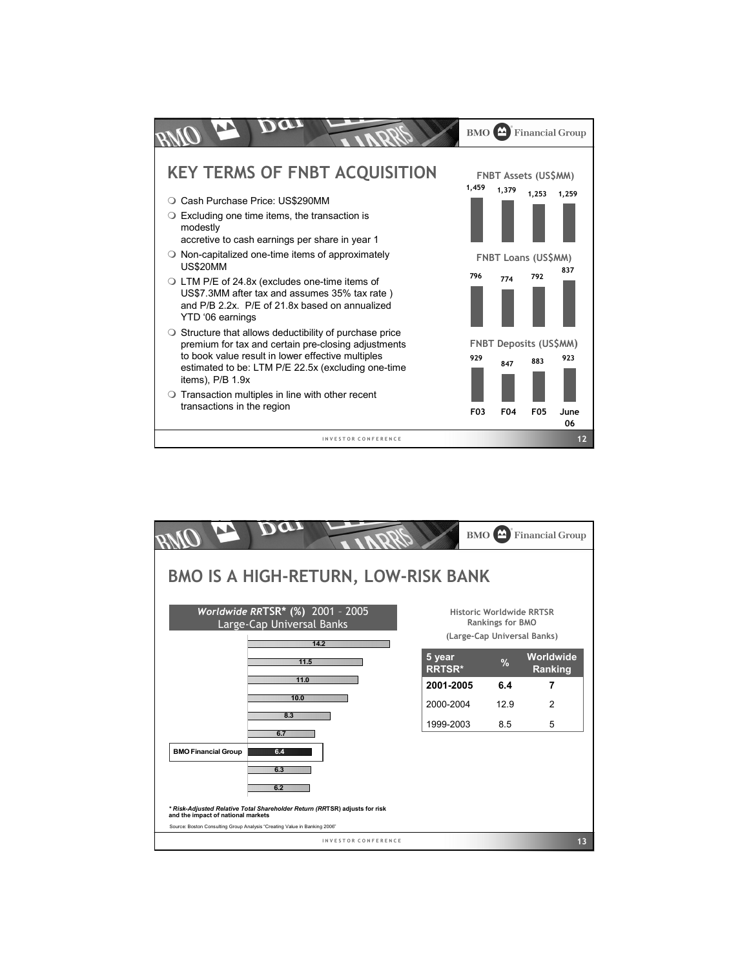

| 11.5<br>11.0<br>10.0<br>8.3                                                                                      | 5 year<br><b>RRTSR*</b><br>2001-2005 | $\frac{9}{6}$<br>6.4 | Worldwide<br>Ranking<br>7 |
|------------------------------------------------------------------------------------------------------------------|--------------------------------------|----------------------|---------------------------|
|                                                                                                                  |                                      |                      |                           |
|                                                                                                                  |                                      |                      |                           |
|                                                                                                                  | 2000-2004                            | 12.9                 | $\mathfrak{p}$            |
| 6.7                                                                                                              | 1999-2003                            | 8.5                  | 5                         |
| <b>BMO Financial Group</b><br>6.4<br>6.3<br>6.2                                                                  |                                      |                      |                           |
| * Risk-Adjusted Relative Total Shareholder Return (RRTSR) adjusts for risk<br>and the impact of national markets |                                      |                      |                           |
| Source: Boston Consulting Group Analysis "Creating Value in Banking 2006"<br>INVESTOR CONFERENCE                 |                                      |                      | 13                        |